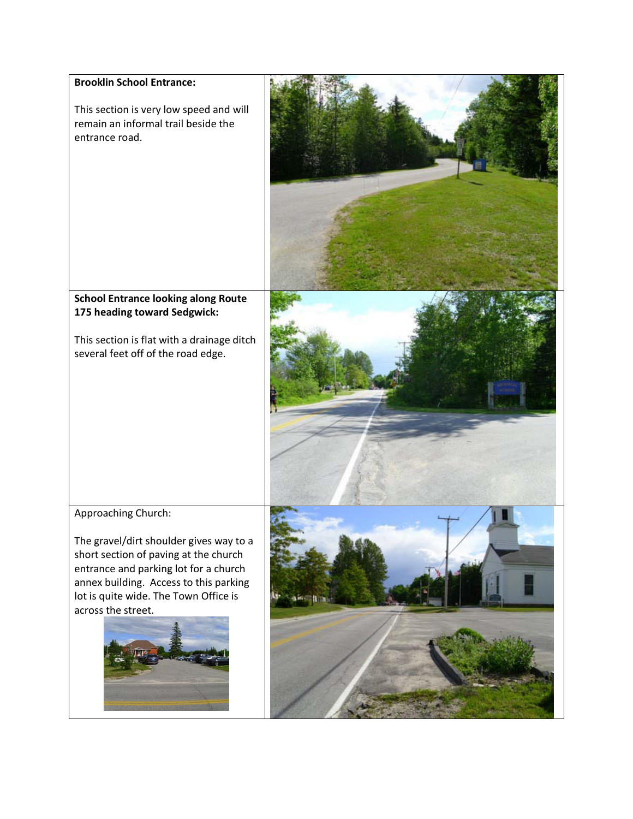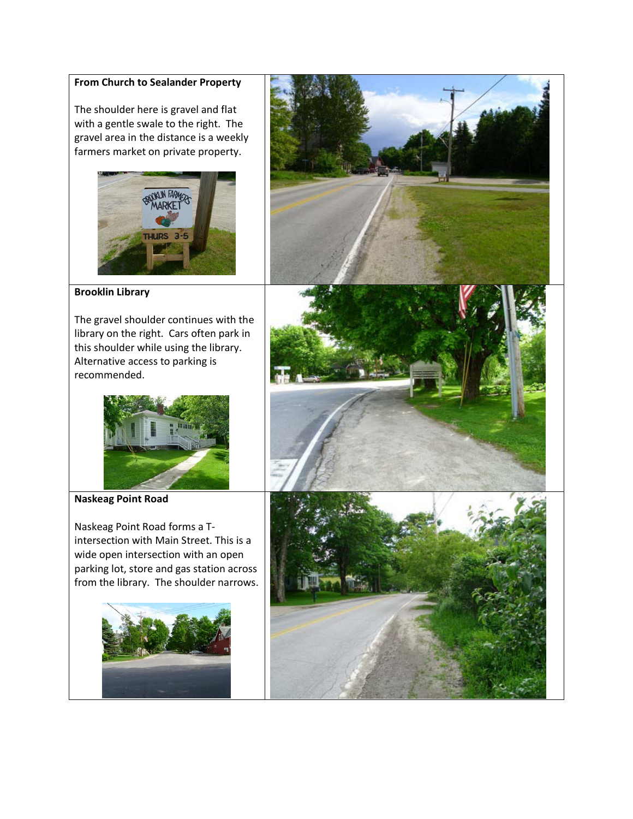## **From Church to Sealander Property**

The shoulder here is gravel and flat with a gentle swale to the right. The gravel area in the distance is a weekly farmers market on private property.





**Brooklin Library**

The gravel shoulder continues with the library on the right. Cars often park in this shoulder while using the library. Alternative access to parking is recommended.



**Naskeag Point Road**

Naskeag Point Road forms a Tintersection with Main Street. This is a wide open intersection with an open parking lot, store and gas station across from the library. The shoulder narrows.